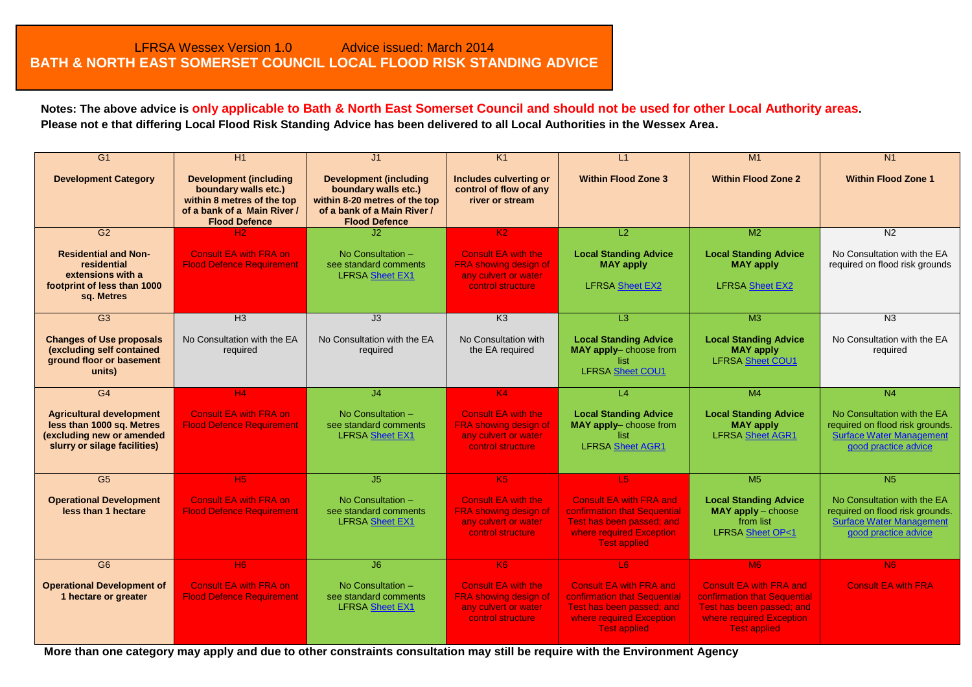**Notes: The above advice is only applicable to Bath & North East Somerset Council and should not be used for other Local Authority areas. Please not e that differing Local Flood Risk Standing Advice has been delivered to all Local Authorities in the Wessex Area.**

| $\overline{G1}$                                                                                                           | H1                                                                                                                                         | J <sub>1</sub>                                                                                                                                | K <sub>1</sub>                                                                                          | L1                                                                                                                                             | M1                                                                                                                                             | N <sub>1</sub>                                                                                                            |
|---------------------------------------------------------------------------------------------------------------------------|--------------------------------------------------------------------------------------------------------------------------------------------|-----------------------------------------------------------------------------------------------------------------------------------------------|---------------------------------------------------------------------------------------------------------|------------------------------------------------------------------------------------------------------------------------------------------------|------------------------------------------------------------------------------------------------------------------------------------------------|---------------------------------------------------------------------------------------------------------------------------|
| <b>Development Category</b>                                                                                               | <b>Development (including</b><br>boundary walls etc.)<br>within 8 metres of the top<br>of a bank of a Main River /<br><b>Flood Defence</b> | <b>Development (including</b><br>boundary walls etc.)<br>within 8-20 metres of the top<br>of a bank of a Main River /<br><b>Flood Defence</b> | Includes culverting or<br>control of flow of any<br>river or stream                                     | <b>Within Flood Zone 3</b>                                                                                                                     | <b>Within Flood Zone 2</b>                                                                                                                     | <b>Within Flood Zone 1</b>                                                                                                |
| G2                                                                                                                        |                                                                                                                                            | J2                                                                                                                                            | K <sub>2</sub>                                                                                          | L2                                                                                                                                             | M <sub>2</sub>                                                                                                                                 | N <sub>2</sub>                                                                                                            |
| <b>Residential and Non-</b><br>residential<br>extensions with a<br>footprint of less than 1000<br>sq. Metres              | <b>Consult EA with FRA on</b><br><b>Flood Defence Requirement</b>                                                                          | No Consultation $-$<br>see standard comments<br><b>LFRSA Sheet EX1</b>                                                                        | <b>Consult EA with the</b><br><b>FRA showing design of</b><br>any culvert or water<br>control structure | <b>Local Standing Advice</b><br><b>MAY apply</b><br><b>LFRSA Sheet EX2</b>                                                                     | <b>Local Standing Advice</b><br><b>MAY apply</b><br><b>LFRSA Sheet EX2</b>                                                                     | No Consultation with the EA<br>required on flood risk grounds                                                             |
| G <sub>3</sub>                                                                                                            | H <sub>3</sub>                                                                                                                             | J3                                                                                                                                            | K3                                                                                                      | L3                                                                                                                                             | M <sub>3</sub>                                                                                                                                 | N <sub>3</sub>                                                                                                            |
| <b>Changes of Use proposals</b><br>(excluding self contained<br>ground floor or basement<br>units)                        | No Consultation with the EA<br>required                                                                                                    | No Consultation with the EA<br>required                                                                                                       | No Consultation with<br>the EA required                                                                 | <b>Local Standing Advice</b><br>MAY apply-choose from<br>list<br><b>LFRSA</b> Sheet COU1                                                       | <b>Local Standing Advice</b><br><b>MAY apply</b><br><b>LFRSA Sheet COU1</b>                                                                    | No Consultation with the EA<br>required                                                                                   |
| G <sub>4</sub>                                                                                                            | H <sub>4</sub>                                                                                                                             | J <sub>4</sub>                                                                                                                                | K4                                                                                                      | $\overline{14}$                                                                                                                                | M <sub>4</sub>                                                                                                                                 | N <sub>4</sub>                                                                                                            |
| <b>Agricultural development</b><br>less than 1000 sq. Metres<br>(excluding new or amended<br>slurry or silage facilities) | <b>Consult EA with FRA on</b><br><b>Flood Defence Requirement</b>                                                                          | No Consultation -<br>see standard comments<br><b>LFRSA Sheet EX1</b>                                                                          | <b>Consult EA with the</b><br>FRA showing design of<br>any culvert or water<br>control structure        | <b>Local Standing Advice</b><br>MAY apply-choose from<br>list<br><b>LFRSA Sheet AGR1</b>                                                       | <b>Local Standing Advice</b><br><b>MAY apply</b><br><b>LFRSA Sheet AGR1</b>                                                                    | No Consultation with the EA<br>required on flood risk grounds.<br><b>Surface Water Management</b><br>good practice advice |
| G <sub>5</sub>                                                                                                            | H <sub>5</sub>                                                                                                                             | J <sub>5</sub>                                                                                                                                | K5                                                                                                      | L5                                                                                                                                             | M <sub>5</sub>                                                                                                                                 | N <sub>5</sub>                                                                                                            |
| <b>Operational Development</b><br>less than 1 hectare                                                                     | <b>Consult EA with FRA on</b><br><b>Flood Defence Requirement</b>                                                                          | No Consultation -<br>see standard comments<br><b>LFRSA Sheet EX1</b>                                                                          | <b>Consult EA with the</b><br><b>FRA showing design of</b><br>any culvert or water<br>control structure | <b>Consult EA with FRA and</b><br>confirmation that Sequential<br>Test has been passed; and<br>where required Exception<br><b>Test applied</b> | <b>Local Standing Advice</b><br>$MAY$ apply $-$ choose<br>from list<br><b>LFRSA Sheet OP&lt;1</b>                                              | No Consultation with the EA<br>required on flood risk grounds.<br><b>Surface Water Management</b><br>good practice advice |
| G <sub>6</sub>                                                                                                            | H6                                                                                                                                         | J6                                                                                                                                            | K6                                                                                                      | L6                                                                                                                                             | M6                                                                                                                                             | <b>N6</b>                                                                                                                 |
| <b>Operational Development of</b><br>1 hectare or greater                                                                 | <b>Consult EA with FRA on</b><br><b>Flood Defence Requirement</b>                                                                          | No Consultation -<br>see standard comments<br><b>LFRSA Sheet EX1</b>                                                                          | <b>Consult EA with the</b><br>FRA showing design of<br>any culvert or water<br>control structure        | <b>Consult EA with FRA and</b><br>confirmation that Sequential<br>Test has been passed; and<br>where required Exception<br><b>Test applied</b> | <b>Consult EA with FRA and</b><br>confirmation that Sequential<br>Test has been passed: and<br>where required Exception<br><b>Test applied</b> | <b>Consult EA with FRA</b>                                                                                                |

<span id="page-0-0"></span>**More than one category may apply and due to other constraints consultation may still be require with the Environment Agency**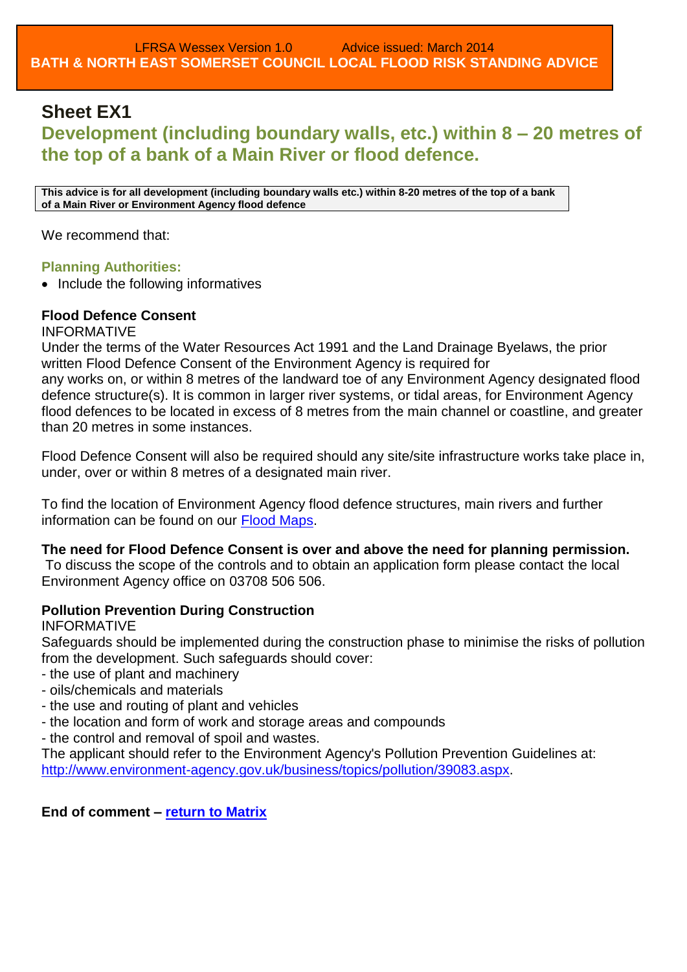# <span id="page-1-1"></span><span id="page-1-0"></span>**Sheet EX1**

# **Development (including boundary walls, etc.) within 8 – 20 metres of the top of a bank of a Main River or flood defence.**

**This advice is for all development (including boundary walls etc.) within 8-20 metres of the top of a bank of a Main River or Environment Agency flood defence**

We recommend that:

### **Planning Authorities:**

• Include the following informatives

### **Flood Defence Consent**

INFORMATIVE

Under the terms of the Water Resources Act 1991 and the Land Drainage Byelaws, the prior written Flood Defence Consent of the Environment Agency is required for

any works on, or within 8 metres of the landward toe of any Environment Agency designated flood defence structure(s). It is common in larger river systems, or tidal areas, for Environment Agency flood defences to be located in excess of 8 metres from the main channel or coastline, and greater than 20 metres in some instances.

Flood Defence Consent will also be required should any site/site infrastructure works take place in, under, over or within 8 metres of a designated main river.

To find the location of Environment Agency flood defence structures, main rivers and further information can be found on our [Flood Maps.](http://maps.environment-agency.gov.uk/wiyby/wiybyController?x=357683.0&y=355134.0&scale=1&layerGroups=default&ep=map&textonly=off&lang=_e&topic=floodmap)

**The need for Flood Defence Consent is over and above the need for planning permission.** 

To discuss the scope of the controls and to obtain an application form please contact the local Environment Agency office on 03708 506 506.

### **Pollution Prevention During Construction**

### INFORMATIVE

Safeguards should be implemented during the construction phase to minimise the risks of pollution from the development. Such safeguards should cover:

- the use of plant and machinery
- oils/chemicals and materials
- the use and routing of plant and vehicles
- the location and form of work and storage areas and compounds
- the control and removal of spoil and wastes.

The applicant should refer to the Environment Agency's Pollution Prevention Guidelines at: [http://www.environment-agency.gov.uk/business/topics/pollution/39083.aspx.](http://www.environment-agency.gov.uk/business/topics/pollution/39083.aspx)

**End of comment – [return to Matrix](#page-0-0)**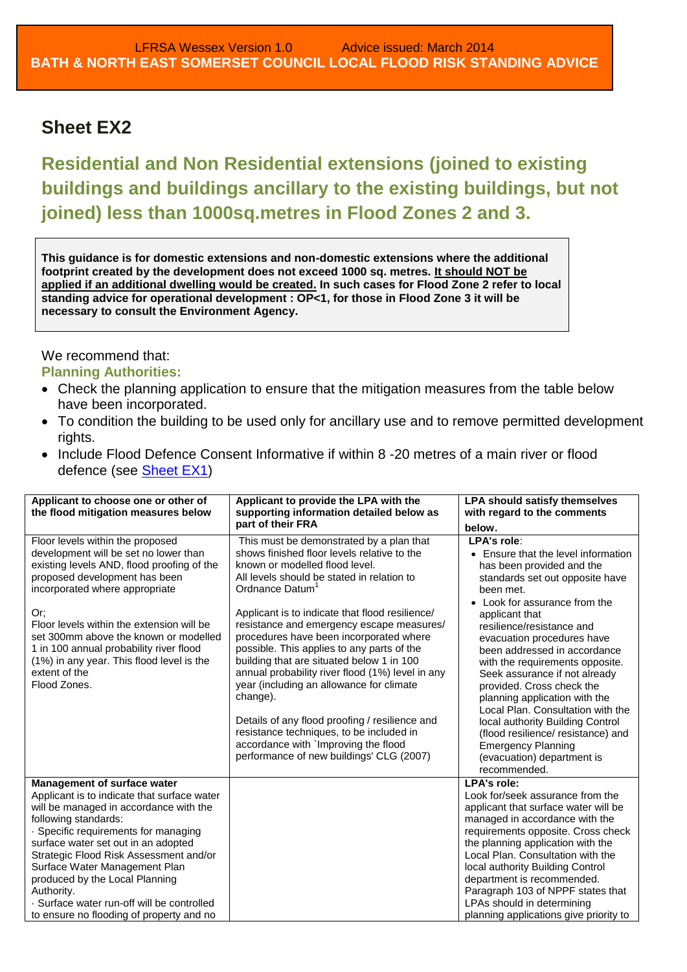# <span id="page-2-1"></span><span id="page-2-0"></span>**Sheet EX2**

**Residential and Non Residential extensions (joined to existing buildings and buildings ancillary to the existing buildings, but not joined) less than 1000sq.metres in Flood Zones 2 and 3.**

**This guidance is for domestic extensions and non-domestic extensions where the additional footprint created by the development does not exceed 1000 sq. metres. It should NOT be applied if an additional dwelling would be created. In such cases for Flood Zone 2 refer to local standing advice for operational development : OP<1, for those in Flood Zone 3 it will be necessary to consult the Environment Agency.**

We recommend that: **Planning Authorities:**

- Check the planning application to ensure that the mitigation measures from the table below have been incorporated.
- To condition the building to be used only for ancillary use and to remove permitted development rights.
- Include Flood Defence Consent Informative if within 8 -20 metres of a main river or flood defence (see **Sheet EX1)**

| Applicant to choose one or other of<br>the flood mitigation measures below                                                                                                                                                                                                                                                                                                                                                                       | Applicant to provide the LPA with the<br>supporting information detailed below as<br>part of their FRA                                                                                                                                                                                                                                                                                                                                                                                                                                                                                                                                                                                                                        | <b>LPA should satisfy themselves</b><br>with regard to the comments<br>below.                                                                                                                                                                                                                                                                                                                                                                                                                                                                                                                             |
|--------------------------------------------------------------------------------------------------------------------------------------------------------------------------------------------------------------------------------------------------------------------------------------------------------------------------------------------------------------------------------------------------------------------------------------------------|-------------------------------------------------------------------------------------------------------------------------------------------------------------------------------------------------------------------------------------------------------------------------------------------------------------------------------------------------------------------------------------------------------------------------------------------------------------------------------------------------------------------------------------------------------------------------------------------------------------------------------------------------------------------------------------------------------------------------------|-----------------------------------------------------------------------------------------------------------------------------------------------------------------------------------------------------------------------------------------------------------------------------------------------------------------------------------------------------------------------------------------------------------------------------------------------------------------------------------------------------------------------------------------------------------------------------------------------------------|
| Floor levels within the proposed<br>development will be set no lower than<br>existing levels AND, flood proofing of the<br>proposed development has been<br>incorporated where appropriate<br>Or;<br>Floor levels within the extension will be<br>set 300mm above the known or modelled<br>1 in 100 annual probability river flood<br>(1%) in any year. This flood level is the<br>extent of the<br>Flood Zones.                                 | This must be demonstrated by a plan that<br>shows finished floor levels relative to the<br>known or modelled flood level.<br>All levels should be stated in relation to<br>Ordnance Datum<br>Applicant is to indicate that flood resilience/<br>resistance and emergency escape measures/<br>procedures have been incorporated where<br>possible. This applies to any parts of the<br>building that are situated below 1 in 100<br>annual probability river flood (1%) level in any<br>year (including an allowance for climate<br>change).<br>Details of any flood proofing / resilience and<br>resistance techniques, to be included in<br>accordance with `Improving the flood<br>performance of new buildings' CLG (2007) | LPA's role:<br>• Ensure that the level information<br>has been provided and the<br>standards set out opposite have<br>been met.<br>• Look for assurance from the<br>applicant that<br>resilience/resistance and<br>evacuation procedures have<br>been addressed in accordance<br>with the requirements opposite.<br>Seek assurance if not already<br>provided. Cross check the<br>planning application with the<br>Local Plan. Consultation with the<br>local authority Building Control<br>(flood resilience/ resistance) and<br><b>Emergency Planning</b><br>(evacuation) department is<br>recommended. |
| Management of surface water<br>Applicant is to indicate that surface water<br>will be managed in accordance with the<br>following standards:<br>· Specific requirements for managing<br>surface water set out in an adopted<br>Strategic Flood Risk Assessment and/or<br>Surface Water Management Plan<br>produced by the Local Planning<br>Authority.<br>· Surface water run-off will be controlled<br>to ensure no flooding of property and no |                                                                                                                                                                                                                                                                                                                                                                                                                                                                                                                                                                                                                                                                                                                               | LPA's role:<br>Look for/seek assurance from the<br>applicant that surface water will be<br>managed in accordance with the<br>requirements opposite. Cross check<br>the planning application with the<br>Local Plan. Consultation with the<br>local authority Building Control<br>department is recommended.<br>Paragraph 103 of NPPF states that<br>LPAs should in determining<br>planning applications give priority to                                                                                                                                                                                  |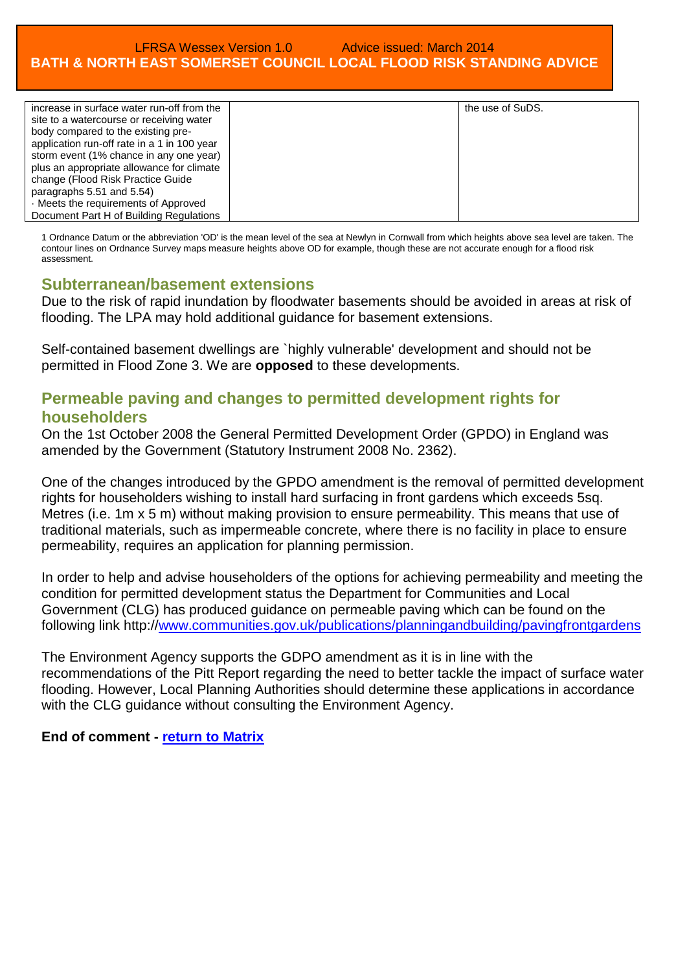| increase in surface water run-off from the  | the use of SuDS. |
|---------------------------------------------|------------------|
| site to a watercourse or receiving water    |                  |
| body compared to the existing pre-          |                  |
| application run-off rate in a 1 in 100 year |                  |
| storm event (1% chance in any one year)     |                  |
| plus an appropriate allowance for climate   |                  |
| change (Flood Risk Practice Guide           |                  |
| paragraphs 5.51 and 5.54)                   |                  |
| . Meets the requirements of Approved        |                  |
| Document Part H of Building Regulations     |                  |

1 Ordnance Datum or the abbreviation 'OD' is the mean level of the sea at Newlyn in Cornwall from which heights above sea level are taken. The contour lines on Ordnance Survey maps measure heights above OD for example, though these are not accurate enough for a flood risk assessment.

### **Subterranean/basement extensions**

Due to the risk of rapid inundation by floodwater basements should be avoided in areas at risk of flooding. The LPA may hold additional guidance for basement extensions.

Self-contained basement dwellings are `highly vulnerable' development and should not be permitted in Flood Zone 3. We are **opposed** to these developments.

## **Permeable paving and changes to permitted development rights for householders**

On the 1st October 2008 the General Permitted Development Order (GPDO) in England was amended by the Government (Statutory Instrument 2008 No. 2362).

One of the changes introduced by the GPDO amendment is the removal of permitted development rights for householders wishing to install hard surfacing in front gardens which exceeds 5sq. Metres (i.e. 1m x 5 m) without making provision to ensure permeability. This means that use of traditional materials, such as impermeable concrete, where there is no facility in place to ensure permeability, requires an application for planning permission.

In order to help and advise householders of the options for achieving permeability and meeting the condition for permitted development status the Department for Communities and Local Government (CLG) has produced guidance on permeable paving which can be found on the following link http:/[/www.communities.gov.uk/publications/planningandbuilding/pavingfrontgardens](http://www.communities.gov.uk/publications/planningandbuilding/pavingfrontgardens)

The Environment Agency supports the GDPO amendment as it is in line with the recommendations of the Pitt Report regarding the need to better tackle the impact of surface water flooding. However, Local Planning Authorities should determine these applications in accordance with the CLG guidance without consulting the Environment Agency.

**End of comment - [return to Matrix](#page-0-0)**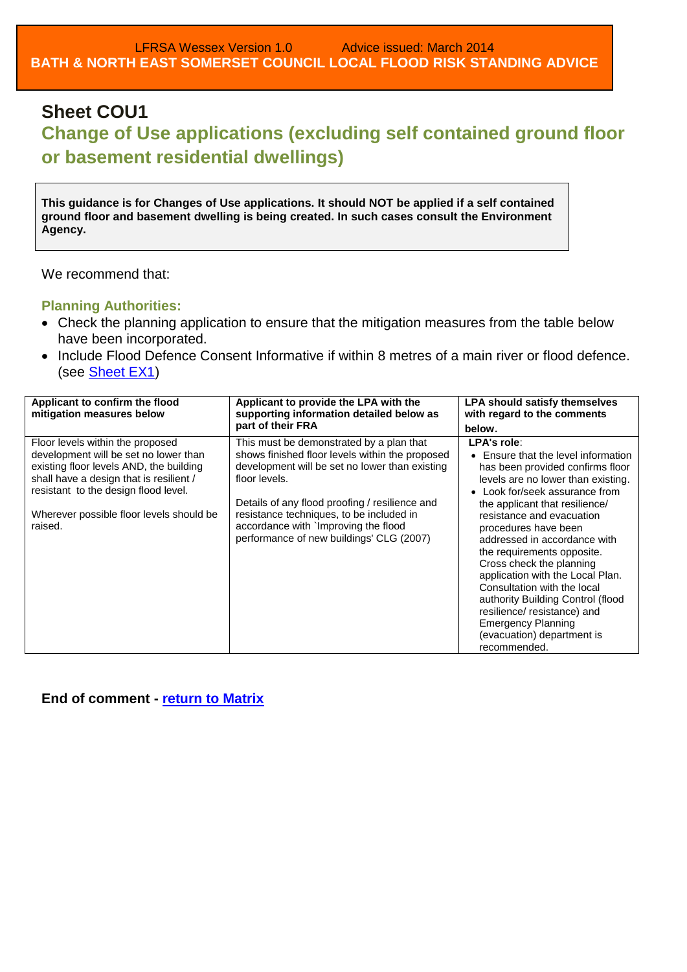# <span id="page-4-0"></span>**Sheet COU1**

# **Change of Use applications (excluding self contained ground floor or basement residential dwellings)**

**This guidance is for Changes of Use applications. It should NOT be applied if a self contained ground floor and basement dwelling is being created. In such cases consult the Environment Agency.**

We recommend that:

#### **Planning Authorities:**

- Check the planning application to ensure that the mitigation measures from the table below have been incorporated.
- Include Flood Defence Consent Informative if within 8 metres of a main river or flood defence. (see [Sheet EX1\)](#page-1-1)

| Applicant to confirm the flood<br>mitigation measures below                                                                                                                                                                                                    | Applicant to provide the LPA with the<br>supporting information detailed below as                                                                                                                                                                                                                                                                | <b>LPA should satisfy themselves</b><br>with regard to the comments                                                                                                                                                                                                                                                                                                                                                                                                                                                                                                         |
|----------------------------------------------------------------------------------------------------------------------------------------------------------------------------------------------------------------------------------------------------------------|--------------------------------------------------------------------------------------------------------------------------------------------------------------------------------------------------------------------------------------------------------------------------------------------------------------------------------------------------|-----------------------------------------------------------------------------------------------------------------------------------------------------------------------------------------------------------------------------------------------------------------------------------------------------------------------------------------------------------------------------------------------------------------------------------------------------------------------------------------------------------------------------------------------------------------------------|
|                                                                                                                                                                                                                                                                | part of their FRA                                                                                                                                                                                                                                                                                                                                | below.                                                                                                                                                                                                                                                                                                                                                                                                                                                                                                                                                                      |
| Floor levels within the proposed<br>development will be set no lower than<br>existing floor levels AND, the building<br>shall have a design that is resilient /<br>resistant to the design flood level.<br>Wherever possible floor levels should be<br>raised. | This must be demonstrated by a plan that<br>shows finished floor levels within the proposed<br>development will be set no lower than existing<br>floor levels.<br>Details of any flood proofing / resilience and<br>resistance techniques, to be included in<br>accordance with `Improving the flood<br>performance of new buildings' CLG (2007) | LPA's role:<br>• Ensure that the level information<br>has been provided confirms floor<br>levels are no lower than existing.<br>Look for/seek assurance from<br>$\bullet$<br>the applicant that resilience/<br>resistance and evacuation<br>procedures have been<br>addressed in accordance with<br>the requirements opposite.<br>Cross check the planning<br>application with the Local Plan.<br>Consultation with the local<br>authority Building Control (flood<br>resilience/resistance) and<br><b>Emergency Planning</b><br>(evacuation) department is<br>recommended. |

**End of comment - [return to Matrix](#page-0-0)**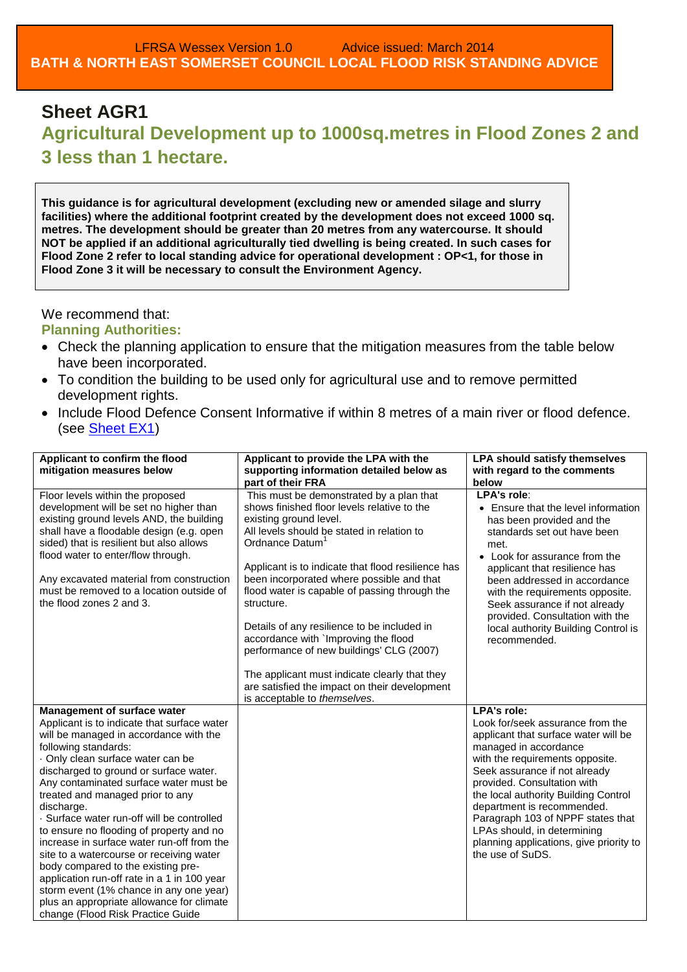# <span id="page-5-0"></span>**Sheet AGR1 Agricultural Development up to 1000sq.metres in Flood Zones 2 and 3 less than 1 hectare.**

**This guidance is for agricultural development (excluding new or amended silage and slurry facilities) where the additional footprint created by the development does not exceed 1000 sq. metres. The development should be greater than 20 metres from any watercourse. It should NOT be applied if an additional agriculturally tied dwelling is being created. In such cases for Flood Zone 2 refer to local standing advice for operational development : OP<1, for those in Flood Zone 3 it will be necessary to consult the Environment Agency.**

#### We recommend that:

### **Planning Authorities:**

- Check the planning application to ensure that the mitigation measures from the table below have been incorporated.
- To condition the building to be used only for agricultural use and to remove permitted development rights.
- Include Flood Defence Consent Informative if within 8 metres of a main river or flood defence. (see **Sheet EX1**)

| Applicant to confirm the flood                                                                                                                                                                                                                                                                                                                                                                                                                                                                                                                                                                                                                                                                                                | Applicant to provide the LPA with the                                                                                                                                                                                                                                                                                                                                                                                                                                                                                                                                                                                                 | <b>LPA should satisfy themselves</b>                                                                                                                                                                                                                                                                                                                                                                                                |
|-------------------------------------------------------------------------------------------------------------------------------------------------------------------------------------------------------------------------------------------------------------------------------------------------------------------------------------------------------------------------------------------------------------------------------------------------------------------------------------------------------------------------------------------------------------------------------------------------------------------------------------------------------------------------------------------------------------------------------|---------------------------------------------------------------------------------------------------------------------------------------------------------------------------------------------------------------------------------------------------------------------------------------------------------------------------------------------------------------------------------------------------------------------------------------------------------------------------------------------------------------------------------------------------------------------------------------------------------------------------------------|-------------------------------------------------------------------------------------------------------------------------------------------------------------------------------------------------------------------------------------------------------------------------------------------------------------------------------------------------------------------------------------------------------------------------------------|
| mitigation measures below                                                                                                                                                                                                                                                                                                                                                                                                                                                                                                                                                                                                                                                                                                     | supporting information detailed below as<br>part of their FRA                                                                                                                                                                                                                                                                                                                                                                                                                                                                                                                                                                         | with regard to the comments<br>below                                                                                                                                                                                                                                                                                                                                                                                                |
| Floor levels within the proposed<br>development will be set no higher than<br>existing ground levels AND, the building<br>shall have a floodable design (e.g. open<br>sided) that is resilient but also allows<br>flood water to enter/flow through.<br>Any excavated material from construction<br>must be removed to a location outside of<br>the flood zones 2 and 3.                                                                                                                                                                                                                                                                                                                                                      | This must be demonstrated by a plan that<br>shows finished floor levels relative to the<br>existing ground level.<br>All levels should be stated in relation to<br>Ordnance Datum <sup>1</sup><br>Applicant is to indicate that flood resilience has<br>been incorporated where possible and that<br>flood water is capable of passing through the<br>structure.<br>Details of any resilience to be included in<br>accordance with `Improving the flood<br>performance of new buildings' CLG (2007)<br>The applicant must indicate clearly that they<br>are satisfied the impact on their development<br>is acceptable to themselves. | LPA's role:<br>• Ensure that the level information<br>has been provided and the<br>standards set out have been<br>met.<br>• Look for assurance from the<br>applicant that resilience has<br>been addressed in accordance<br>with the requirements opposite.<br>Seek assurance if not already<br>provided. Consultation with the<br>local authority Building Control is<br>recommended.                                              |
| Management of surface water<br>Applicant is to indicate that surface water<br>will be managed in accordance with the<br>following standards:<br>· Only clean surface water can be<br>discharged to ground or surface water.<br>Any contaminated surface water must be<br>treated and managed prior to any<br>discharge.<br>· Surface water run-off will be controlled<br>to ensure no flooding of property and no<br>increase in surface water run-off from the<br>site to a watercourse or receiving water<br>body compared to the existing pre-<br>application run-off rate in a 1 in 100 year<br>storm event (1% chance in any one year)<br>plus an appropriate allowance for climate<br>change (Flood Risk Practice Guide |                                                                                                                                                                                                                                                                                                                                                                                                                                                                                                                                                                                                                                       | <b>LPA's role:</b><br>Look for/seek assurance from the<br>applicant that surface water will be<br>managed in accordance<br>with the requirements opposite.<br>Seek assurance if not already<br>provided. Consultation with<br>the local authority Building Control<br>department is recommended.<br>Paragraph 103 of NPPF states that<br>LPAs should, in determining<br>planning applications, give priority to<br>the use of SuDS. |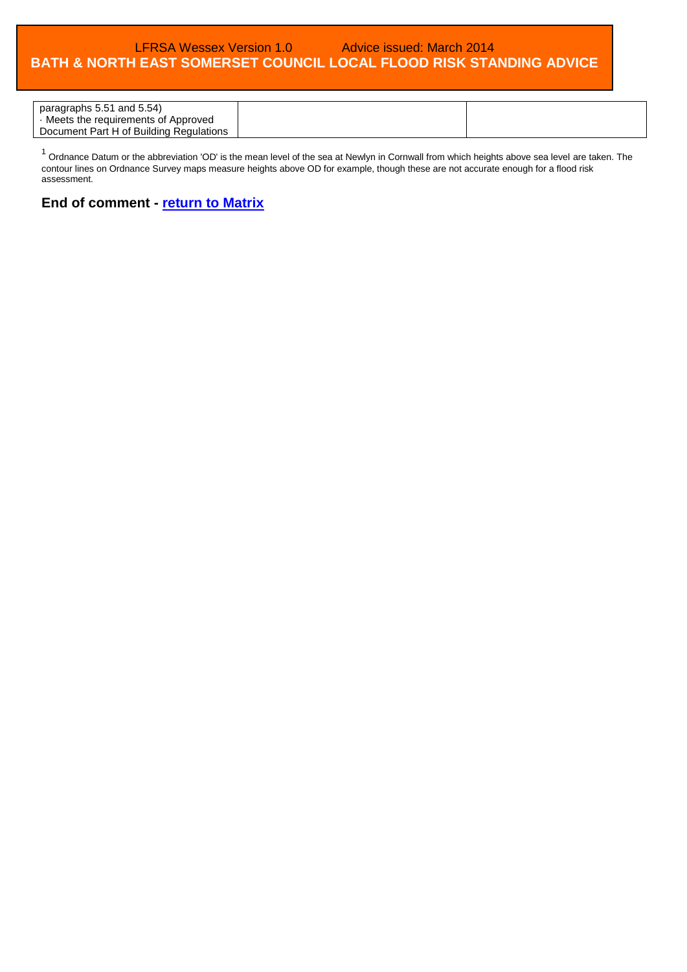| paragraphs 5.51 and 5.54)               |  |
|-----------------------------------------|--|
| · Meets the requirements of Approved    |  |
| Document Part H of Building Regulations |  |

 $1$  Ordnance Datum or the abbreviation 'OD' is the mean level of the sea at Newlyn in Cornwall from which heights above sea level are taken. The contour lines on Ordnance Survey maps measure heights above OD for example, though these are not accurate enough for a flood risk assessment.

#### **End of comment - [return to Matrix](#page-0-0)**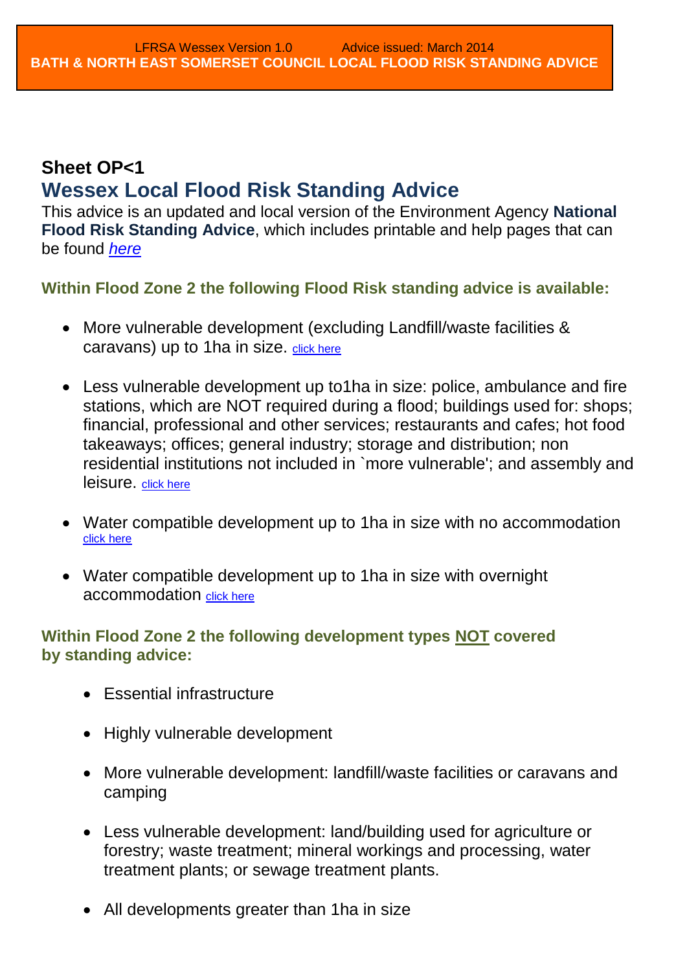# <span id="page-7-1"></span><span id="page-7-0"></span>**Sheet OP<1 Wessex Local Flood Risk Standing Advice**

This advice is an updated and local version of the Environment Agency **National Flood Risk Standing Advice**, which includes printable and help pages that can be found *[here](http://www.environment-agency.gov.uk/research/planning/82584.aspx)*

**Within Flood Zone 2 the following Flood Risk standing advice is available:**

- More vulnerable development (excluding Landfill/waste facilities & caravans) up to 1 ha in size. [click here](#page-8-0)
- Less vulnerable development up to1ha in size: police, ambulance and fire stations, which are NOT required during a flood; buildings used for: shops; financial, professional and other services; restaurants and cafes; hot food takeaways; offices; general industry; storage and distribution; non residential institutions not included in `more vulnerable'; and assembly and leisure. [click here](#page-10-0)
- Water compatible development up to 1ha in size with no accommodation [click here](#page-12-0)
- Water compatible development up to 1ha in size with overnight accommodation [click here](#page-14-0)

# **Within Flood Zone 2 the following development types NOT covered by standing advice:**

- Essential infrastructure
- Highly vulnerable development
- More vulnerable development: landfill/waste facilities or caravans and camping
- Less vulnerable development: land/building used for agriculture or forestry; waste treatment; mineral workings and processing, water treatment plants; or sewage treatment plants.
- All developments greater than 1 ha in size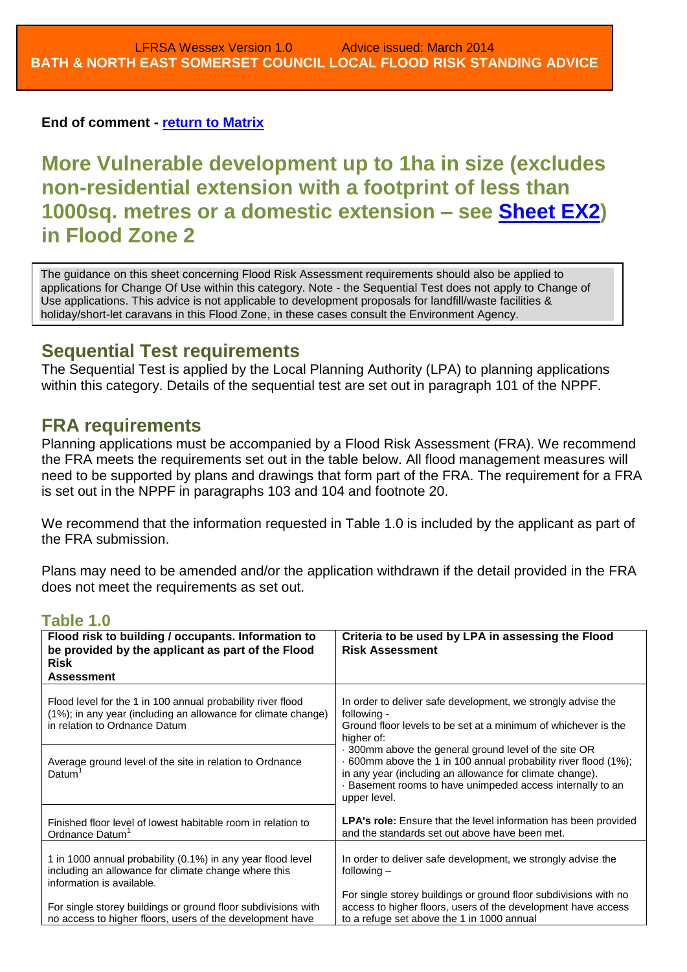**End of comment - [return to Matrix](#page-0-0)**

<span id="page-8-0"></span>**More Vulnerable development up to 1ha in size (excludes non-residential extension with a footprint of less than 1000sq. metres or a domestic extension – see [Sheet EX2\)](#page-2-1) in Flood Zone 2** 

The guidance on this sheet concerning Flood Risk Assessment requirements should also be applied to applications for Change Of Use within this category. Note - the Sequential Test does not apply to Change of Use applications. This advice is not applicable to development proposals for landfill/waste facilities & holiday/short-let caravans in this Flood Zone, in these cases consult the Environment Agency.

# **Sequential Test requirements**

The Sequential Test is applied by the Local Planning Authority (LPA) to planning applications within this category. Details of the sequential test are set out in paragraph 101 of the NPPF.

# **FRA requirements**

Planning applications must be accompanied by a Flood Risk Assessment (FRA). We recommend the FRA meets the requirements set out in the table below. All flood management measures will need to be supported by plans and drawings that form part of the FRA. The requirement for a FRA is set out in the NPPF in paragraphs 103 and 104 and footnote 20.

We recommend that the information requested in Table 1.0 is included by the applicant as part of the FRA submission.

Plans may need to be amended and/or the application withdrawn if the detail provided in the FRA does not meet the requirements as set out.

| <u>uwiv is</u>                                                                                                                                                                                                    |                                                                                                                                                                                                                                                                |
|-------------------------------------------------------------------------------------------------------------------------------------------------------------------------------------------------------------------|----------------------------------------------------------------------------------------------------------------------------------------------------------------------------------------------------------------------------------------------------------------|
| Flood risk to building / occupants. Information to<br>be provided by the applicant as part of the Flood<br><b>Risk</b><br><b>Assessment</b>                                                                       | Criteria to be used by LPA in assessing the Flood<br><b>Risk Assessment</b>                                                                                                                                                                                    |
| Flood level for the 1 in 100 annual probability river flood<br>(1%); in any year (including an allowance for climate change)<br>in relation to Ordnance Datum                                                     | In order to deliver safe development, we strongly advise the<br>following -<br>Ground floor levels to be set at a minimum of whichever is the<br>higher of:                                                                                                    |
| Average ground level of the site in relation to Ordnance<br>Datum <sup>'</sup>                                                                                                                                    | 300mm above the general ground level of the site OR<br>600mm above the 1 in 100 annual probability river flood (1%);<br>in any year (including an allowance for climate change).<br>· Basement rooms to have unimpeded access internally to an<br>upper level. |
| Finished floor level of lowest habitable room in relation to<br>Ordnance Datum <sup>1</sup>                                                                                                                       | LPA's role: Ensure that the level information has been provided<br>and the standards set out above have been met.                                                                                                                                              |
| 1 in 1000 annual probability (0.1%) in any year flood level<br>including an allowance for climate change where this<br>information is available.<br>For single storey buildings or ground floor subdivisions with | In order to deliver safe development, we strongly advise the<br>following $-$<br>For single storey buildings or ground floor subdivisions with no<br>access to higher floors, users of the development have access                                             |
| no access to higher floors, users of the development have                                                                                                                                                         | to a refuge set above the 1 in 1000 annual                                                                                                                                                                                                                     |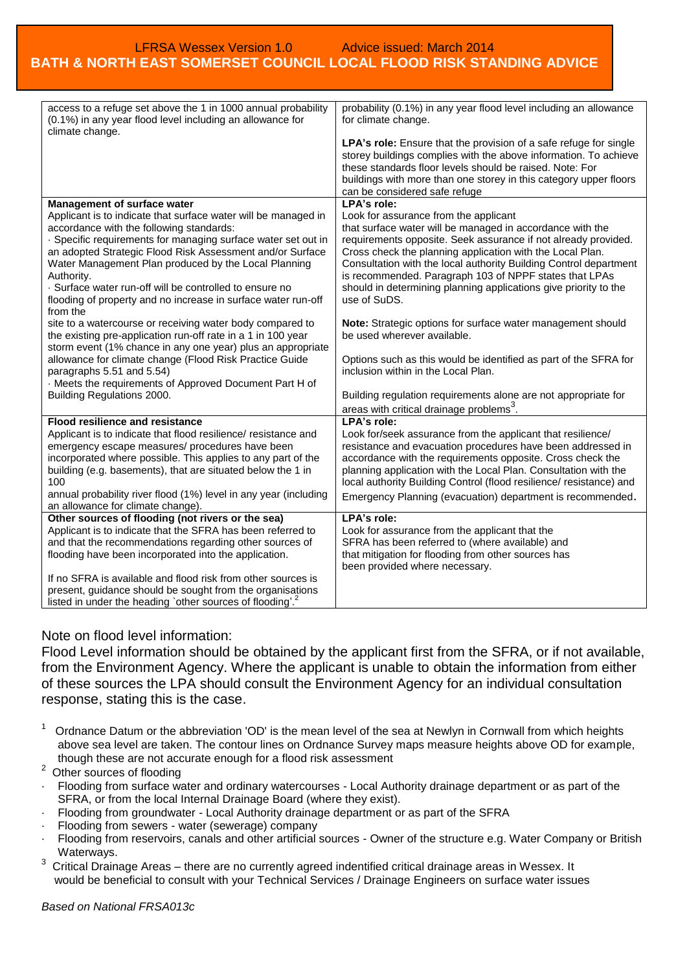| access to a refuge set above the 1 in 1000 annual probability<br>(0.1%) in any year flood level including an allowance for<br>climate change. | probability (0.1%) in any year flood level including an allowance<br>for climate change.                                       |
|-----------------------------------------------------------------------------------------------------------------------------------------------|--------------------------------------------------------------------------------------------------------------------------------|
|                                                                                                                                               | LPA's role: Ensure that the provision of a safe refuge for single                                                              |
|                                                                                                                                               | storey buildings complies with the above information. To achieve                                                               |
|                                                                                                                                               | these standards floor levels should be raised. Note: For                                                                       |
|                                                                                                                                               | buildings with more than one storey in this category upper floors                                                              |
|                                                                                                                                               | can be considered safe refuge                                                                                                  |
| Management of surface water                                                                                                                   | LPA's role:                                                                                                                    |
| Applicant is to indicate that surface water will be managed in                                                                                | Look for assurance from the applicant                                                                                          |
| accordance with the following standards:                                                                                                      | that surface water will be managed in accordance with the                                                                      |
| · Specific requirements for managing surface water set out in                                                                                 | requirements opposite. Seek assurance if not already provided.                                                                 |
| an adopted Strategic Flood Risk Assessment and/or Surface<br>Water Management Plan produced by the Local Planning                             | Cross check the planning application with the Local Plan.<br>Consultation with the local authority Building Control department |
| Authority.                                                                                                                                    | is recommended. Paragraph 103 of NPPF states that LPAs                                                                         |
| . Surface water run-off will be controlled to ensure no                                                                                       | should in determining planning applications give priority to the                                                               |
| flooding of property and no increase in surface water run-off                                                                                 | use of SuDS.                                                                                                                   |
| from the                                                                                                                                      |                                                                                                                                |
| site to a watercourse or receiving water body compared to                                                                                     | Note: Strategic options for surface water management should                                                                    |
| the existing pre-application run-off rate in a 1 in 100 year                                                                                  | be used wherever available.                                                                                                    |
| storm event (1% chance in any one year) plus an appropriate                                                                                   |                                                                                                                                |
| allowance for climate change (Flood Risk Practice Guide                                                                                       | Options such as this would be identified as part of the SFRA for                                                               |
| paragraphs 5.51 and 5.54)                                                                                                                     | inclusion within in the Local Plan.                                                                                            |
| · Meets the requirements of Approved Document Part H of                                                                                       |                                                                                                                                |
| Building Regulations 2000.                                                                                                                    | Building regulation requirements alone are not appropriate for                                                                 |
|                                                                                                                                               | areas with critical drainage problems <sup>3</sup> .                                                                           |
| Flood resilience and resistance                                                                                                               | LPA's role:                                                                                                                    |
| Applicant is to indicate that flood resilience/ resistance and                                                                                | Look for/seek assurance from the applicant that resilience/                                                                    |
| emergency escape measures/ procedures have been                                                                                               | resistance and evacuation procedures have been addressed in                                                                    |
| incorporated where possible. This applies to any part of the<br>building (e.g. basements), that are situated below the 1 in                   | accordance with the requirements opposite. Cross check the<br>planning application with the Local Plan. Consultation with the  |
| 100                                                                                                                                           | local authority Building Control (flood resilience/ resistance) and                                                            |
| annual probability river flood (1%) level in any year (including                                                                              |                                                                                                                                |
| an allowance for climate change).                                                                                                             | Emergency Planning (evacuation) department is recommended.                                                                     |
| Other sources of flooding (not rivers or the sea)                                                                                             | LPA's role:                                                                                                                    |
| Applicant is to indicate that the SFRA has been referred to                                                                                   | Look for assurance from the applicant that the                                                                                 |
| and that the recommendations regarding other sources of                                                                                       | SFRA has been referred to (where available) and                                                                                |
| flooding have been incorporated into the application.                                                                                         | that mitigation for flooding from other sources has                                                                            |
|                                                                                                                                               | been provided where necessary.                                                                                                 |
| If no SFRA is available and flood risk from other sources is                                                                                  |                                                                                                                                |
| present, guidance should be sought from the organisations                                                                                     |                                                                                                                                |
| listed in under the heading `other sources of flooding'. <sup>2</sup>                                                                         |                                                                                                                                |

#### Note on flood level information:

Flood Level information should be obtained by the applicant first from the SFRA, or if not available, from the Environment Agency. Where the applicant is unable to obtain the information from either of these sources the LPA should consult the Environment Agency for an individual consultation response, stating this is the case.

 $1$  Ordnance Datum or the abbreviation 'OD' is the mean level of the sea at Newlyn in Cornwall from which heights above sea level are taken. The contour lines on Ordnance Survey maps measure heights above OD for example, though these are not accurate enough for a flood risk assessment

 $\mathfrak{p}$ Other sources of flooding

- · Flooding from surface water and ordinary watercourses Local Authority drainage department or as part of the SFRA, or from the local Internal Drainage Board (where they exist).
- · Flooding from groundwater Local Authority drainage department or as part of the SFRA
- Flooding from sewers water (sewerage) company
- Flooding from reservoirs, canals and other artificial sources Owner of the structure e.g. Water Company or British Waterways.
- $3\sigma$  Critical Drainage Areas there are no currently agreed indentified critical drainage areas in Wessex. It would be beneficial to consult with your Technical Services / Drainage Engineers on surface water issues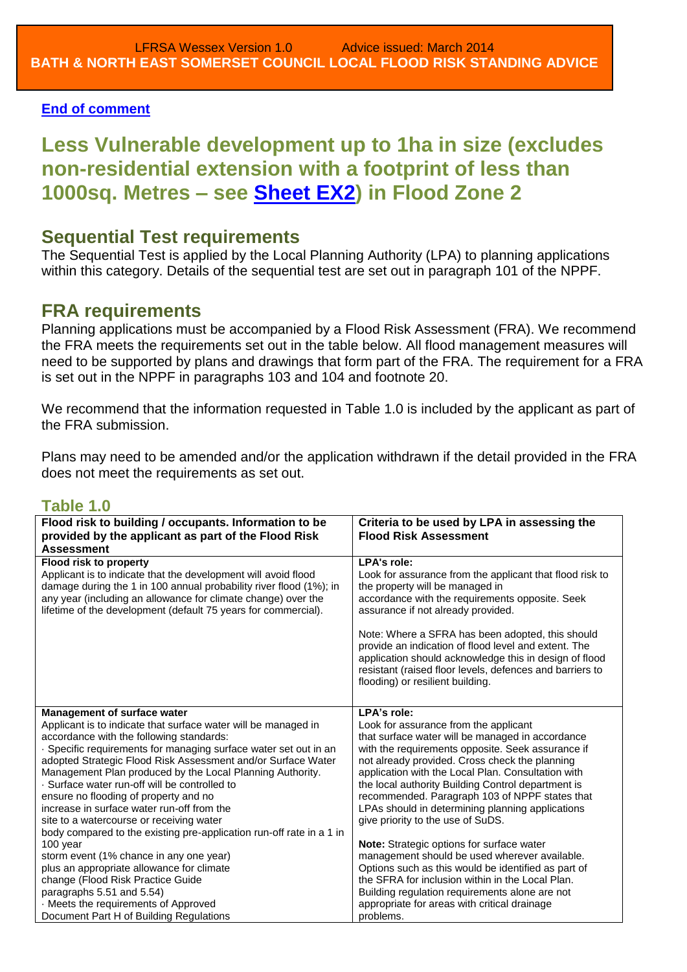### **[End of comment](#page-7-1)**

<span id="page-10-0"></span>**Less Vulnerable development up to 1ha in size (excludes non-residential extension with a footprint of less than 1000sq. Metres – see [Sheet EX2\)](#page-2-1) in Flood Zone 2**

# **Sequential Test requirements**

The Sequential Test is applied by the Local Planning Authority (LPA) to planning applications within this category. Details of the sequential test are set out in paragraph 101 of the NPPF.

# **FRA requirements**

Planning applications must be accompanied by a Flood Risk Assessment (FRA). We recommend the FRA meets the requirements set out in the table below. All flood management measures will need to be supported by plans and drawings that form part of the FRA. The requirement for a FRA is set out in the NPPF in paragraphs 103 and 104 and footnote 20.

We recommend that the information requested in Table 1.0 is included by the applicant as part of the FRA submission.

Plans may need to be amended and/or the application withdrawn if the detail provided in the FRA does not meet the requirements as set out.

| Flood risk to building / occupants. Information to be                | Criteria to be used by LPA in assessing the              |
|----------------------------------------------------------------------|----------------------------------------------------------|
| provided by the applicant as part of the Flood Risk                  | <b>Flood Risk Assessment</b>                             |
| <b>Assessment</b>                                                    |                                                          |
| Flood risk to property                                               | <b>LPA's role:</b>                                       |
| Applicant is to indicate that the development will avoid flood       | Look for assurance from the applicant that flood risk to |
| damage during the 1 in 100 annual probability river flood (1%); in   | the property will be managed in                          |
| any year (including an allowance for climate change) over the        | accordance with the requirements opposite. Seek          |
| lifetime of the development (default 75 years for commercial).       | assurance if not already provided.                       |
|                                                                      | Note: Where a SFRA has been adopted, this should         |
|                                                                      | provide an indication of flood level and extent. The     |
|                                                                      | application should acknowledge this in design of flood   |
|                                                                      | resistant (raised floor levels, defences and barriers to |
|                                                                      | flooding) or resilient building.                         |
|                                                                      |                                                          |
| <b>Management of surface water</b>                                   | LPA's role:                                              |
| Applicant is to indicate that surface water will be managed in       | Look for assurance from the applicant                    |
| accordance with the following standards:                             | that surface water will be managed in accordance         |
| · Specific requirements for managing surface water set out in an     | with the requirements opposite. Seek assurance if        |
| adopted Strategic Flood Risk Assessment and/or Surface Water         | not already provided. Cross check the planning           |
| Management Plan produced by the Local Planning Authority.            | application with the Local Plan. Consultation with       |
| · Surface water run-off will be controlled to                        | the local authority Building Control department is       |
| ensure no flooding of property and no                                | recommended. Paragraph 103 of NPPF states that           |
| increase in surface water run-off from the                           | LPAs should in determining planning applications         |
| site to a watercourse or receiving water                             | give priority to the use of SuDS.                        |
| body compared to the existing pre-application run-off rate in a 1 in |                                                          |
| 100 year                                                             | Note: Strategic options for surface water                |
| storm event (1% chance in any one year)                              | management should be used wherever available.            |
| plus an appropriate allowance for climate                            | Options such as this would be identified as part of      |
| change (Flood Risk Practice Guide                                    | the SFRA for inclusion within in the Local Plan.         |
| paragraphs 5.51 and 5.54)                                            | Building regulation requirements alone are not           |
| · Meets the requirements of Approved                                 | appropriate for areas with critical drainage             |
| Document Part H of Building Regulations                              | problems.                                                |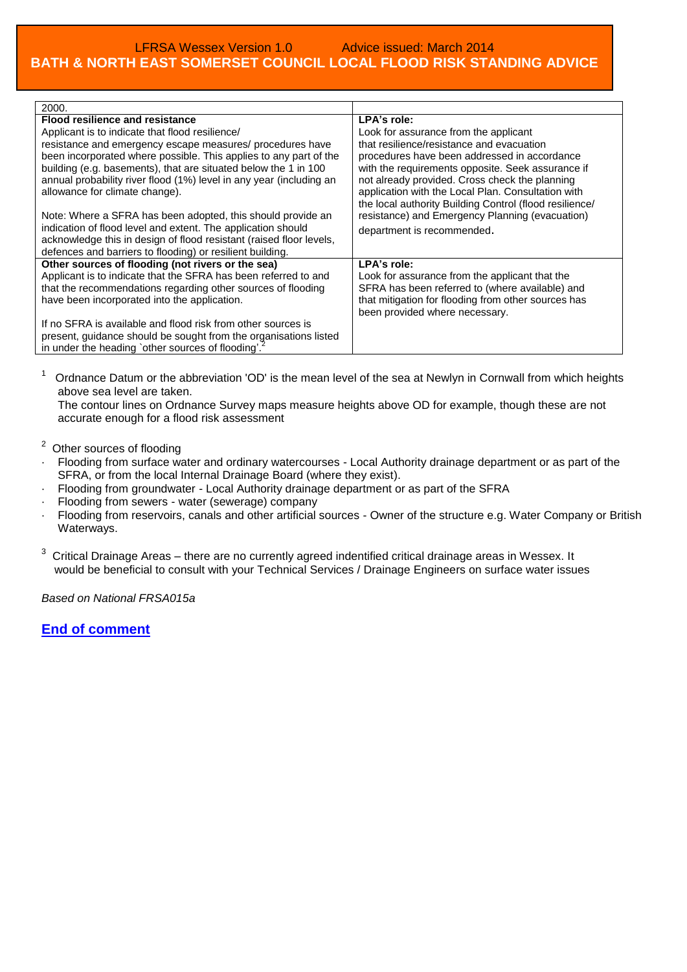| 2000.                                                                                                                                                                                                                                                                                                                                                                                                                                                                                                                                                                                                                                                                      |                                                                                                                                                                                                                                                                                                                                                                                                                                                            |
|----------------------------------------------------------------------------------------------------------------------------------------------------------------------------------------------------------------------------------------------------------------------------------------------------------------------------------------------------------------------------------------------------------------------------------------------------------------------------------------------------------------------------------------------------------------------------------------------------------------------------------------------------------------------------|------------------------------------------------------------------------------------------------------------------------------------------------------------------------------------------------------------------------------------------------------------------------------------------------------------------------------------------------------------------------------------------------------------------------------------------------------------|
| <b>Flood resilience and resistance</b><br>Applicant is to indicate that flood resilience/<br>resistance and emergency escape measures/ procedures have<br>been incorporated where possible. This applies to any part of the<br>building (e.g. basements), that are situated below the 1 in 100<br>annual probability river flood (1%) level in any year (including an<br>allowance for climate change).<br>Note: Where a SFRA has been adopted, this should provide an<br>indication of flood level and extent. The application should<br>acknowledge this in design of flood resistant (raised floor levels,<br>defences and barriers to flooding) or resilient building. | LPA's role:<br>Look for assurance from the applicant<br>that resilience/resistance and evacuation<br>procedures have been addressed in accordance<br>with the requirements opposite. Seek assurance if<br>not already provided. Cross check the planning<br>application with the Local Plan. Consultation with<br>the local authority Building Control (flood resilience/<br>resistance) and Emergency Planning (evacuation)<br>department is recommended. |
| Other sources of flooding (not rivers or the sea)<br>Applicant is to indicate that the SFRA has been referred to and<br>that the recommendations regarding other sources of flooding<br>have been incorporated into the application.<br>If no SFRA is available and flood risk from other sources is<br>present, guidance should be sought from the organisations listed<br>in under the heading `other sources of flooding'.                                                                                                                                                                                                                                              | LPA's role:<br>Look for assurance from the applicant that the<br>SFRA has been referred to (where available) and<br>that mitigation for flooding from other sources has<br>been provided where necessary.                                                                                                                                                                                                                                                  |

 $1$  Ordnance Datum or the abbreviation 'OD' is the mean level of the sea at Newlyn in Cornwall from which heights above sea level are taken.

The contour lines on Ordnance Survey maps measure heights above OD for example, though these are not accurate enough for a flood risk assessment

- $2$  Other sources of flooding
- · Flooding from surface water and ordinary watercourses Local Authority drainage department or as part of the SFRA, or from the local Internal Drainage Board (where they exist).
- · Flooding from groundwater Local Authority drainage department or as part of the SFRA
- · Flooding from sewers water (sewerage) company
- Flooding from reservoirs, canals and other artificial sources Owner of the structure e.g. Water Company or British Waterways.
- $3$  Critical Drainage Areas there are no currently agreed indentified critical drainage areas in Wessex. It would be beneficial to consult with your Technical Services / Drainage Engineers on surface water issues

*Based on National FRSA015a*

**[End of comment](#page-7-1)**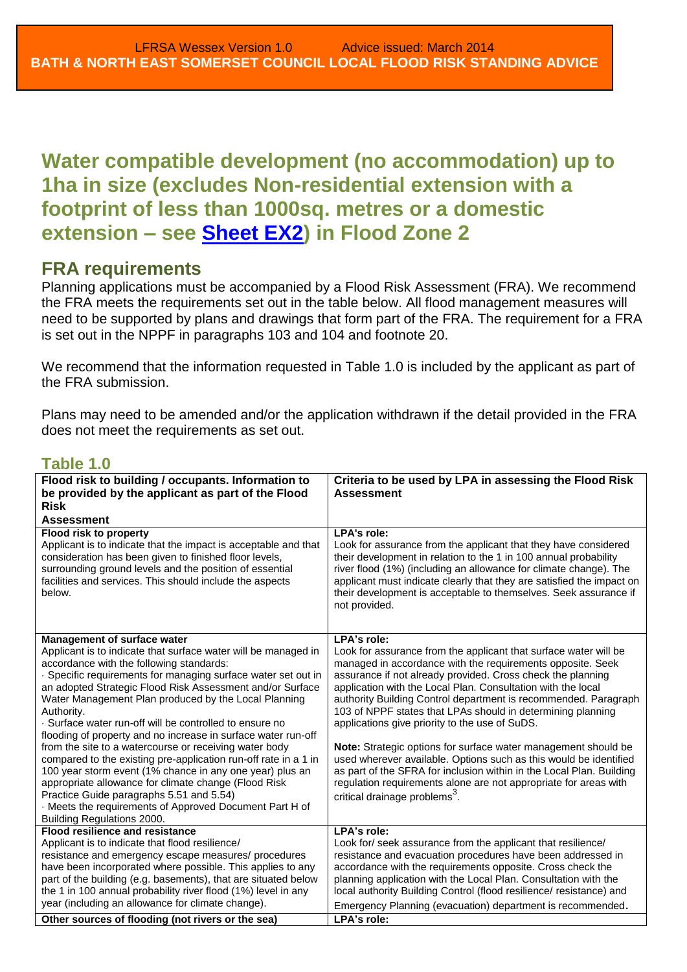# <span id="page-12-0"></span>**Water compatible development (no accommodation) up to 1ha in size (excludes Non-residential extension with a footprint of less than 1000sq. metres or a domestic extension – see [Sheet EX2\)](#page-2-1) in Flood Zone 2**

## **FRA requirements**

Planning applications must be accompanied by a Flood Risk Assessment (FRA). We recommend the FRA meets the requirements set out in the table below. All flood management measures will need to be supported by plans and drawings that form part of the FRA. The requirement for a FRA is set out in the NPPF in paragraphs 103 and 104 and footnote 20.

We recommend that the information requested in Table 1.0 is included by the applicant as part of the FRA submission.

Plans may need to be amended and/or the application withdrawn if the detail provided in the FRA does not meet the requirements as set out.

| Flood risk to building / occupants. Information to<br>be provided by the applicant as part of the Flood<br><b>Risk</b><br><b>Assessment</b>                                                                                                                                                                                                                                                                                                                                                                                                                                                                                                                                                                                                                                                                                                                   | Criteria to be used by LPA in assessing the Flood Risk<br><b>Assessment</b>                                                                                                                                                                                                                                                                                                                                                                                                                                                                                                                                                                                                                                                                                                                      |
|---------------------------------------------------------------------------------------------------------------------------------------------------------------------------------------------------------------------------------------------------------------------------------------------------------------------------------------------------------------------------------------------------------------------------------------------------------------------------------------------------------------------------------------------------------------------------------------------------------------------------------------------------------------------------------------------------------------------------------------------------------------------------------------------------------------------------------------------------------------|--------------------------------------------------------------------------------------------------------------------------------------------------------------------------------------------------------------------------------------------------------------------------------------------------------------------------------------------------------------------------------------------------------------------------------------------------------------------------------------------------------------------------------------------------------------------------------------------------------------------------------------------------------------------------------------------------------------------------------------------------------------------------------------------------|
| Flood risk to property<br>Applicant is to indicate that the impact is acceptable and that<br>consideration has been given to finished floor levels,<br>surrounding ground levels and the position of essential<br>facilities and services. This should include the aspects<br>below.                                                                                                                                                                                                                                                                                                                                                                                                                                                                                                                                                                          | <b>LPA's role:</b><br>Look for assurance from the applicant that they have considered<br>their development in relation to the 1 in 100 annual probability<br>river flood (1%) (including an allowance for climate change). The<br>applicant must indicate clearly that they are satisfied the impact on<br>their development is acceptable to themselves. Seek assurance if<br>not provided.                                                                                                                                                                                                                                                                                                                                                                                                     |
| Management of surface water<br>Applicant is to indicate that surface water will be managed in<br>accordance with the following standards:<br>· Specific requirements for managing surface water set out in<br>an adopted Strategic Flood Risk Assessment and/or Surface<br>Water Management Plan produced by the Local Planning<br>Authority.<br>· Surface water run-off will be controlled to ensure no<br>flooding of property and no increase in surface water run-off<br>from the site to a watercourse or receiving water body<br>compared to the existing pre-application run-off rate in a 1 in<br>100 year storm event (1% chance in any one year) plus an<br>appropriate allowance for climate change (Flood Risk<br>Practice Guide paragraphs 5.51 and 5.54)<br>Meets the requirements of Approved Document Part H of<br>Building Regulations 2000. | LPA's role:<br>Look for assurance from the applicant that surface water will be<br>managed in accordance with the requirements opposite. Seek<br>assurance if not already provided. Cross check the planning<br>application with the Local Plan. Consultation with the local<br>authority Building Control department is recommended. Paragraph<br>103 of NPPF states that LPAs should in determining planning<br>applications give priority to the use of SuDS.<br>Note: Strategic options for surface water management should be<br>used wherever available. Options such as this would be identified<br>as part of the SFRA for inclusion within in the Local Plan. Building<br>regulation requirements alone are not appropriate for areas with<br>critical drainage problems <sup>3</sup> . |
| <b>Flood resilience and resistance</b><br>Applicant is to indicate that flood resilience/<br>resistance and emergency escape measures/ procedures<br>have been incorporated where possible. This applies to any<br>part of the building (e.g. basements), that are situated below<br>the 1 in 100 annual probability river flood (1%) level in any<br>year (including an allowance for climate change).<br>Other sources of flooding (not rivers or the sea)                                                                                                                                                                                                                                                                                                                                                                                                  | LPA's role:<br>Look for/ seek assurance from the applicant that resilience/<br>resistance and evacuation procedures have been addressed in<br>accordance with the requirements opposite. Cross check the<br>planning application with the Local Plan. Consultation with the<br>local authority Building Control (flood resilience/ resistance) and<br>Emergency Planning (evacuation) department is recommended.<br>LPA's role:                                                                                                                                                                                                                                                                                                                                                                  |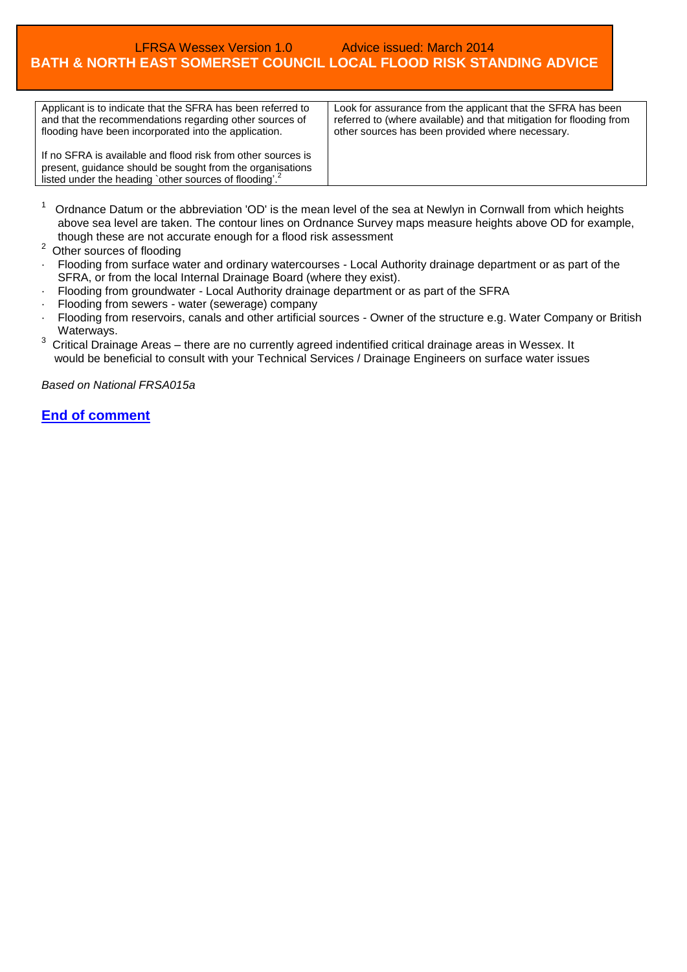| Applicant is to indicate that the SFRA has been referred to<br>and that the recommendations regarding other sources of<br>flooding have been incorporated into the application.                 | Look for assurance from the applicant that the SFRA has been<br>referred to (where available) and that mitigation for flooding from<br>other sources has been provided where necessary. |
|-------------------------------------------------------------------------------------------------------------------------------------------------------------------------------------------------|-----------------------------------------------------------------------------------------------------------------------------------------------------------------------------------------|
| If no SFRA is available and flood risk from other sources is<br>present, guidance should be sought from the organisations<br>listed under the heading `other sources of flooding'. <sup>2</sup> |                                                                                                                                                                                         |

- $1$  Ordnance Datum or the abbreviation 'OD' is the mean level of the sea at Newlyn in Cornwall from which heights above sea level are taken. The contour lines on Ordnance Survey maps measure heights above OD for example, though these are not accurate enough for a flood risk assessment
- <sup>2</sup> Other sources of flooding
- · Flooding from surface water and ordinary watercourses Local Authority drainage department or as part of the SFRA, or from the local Internal Drainage Board (where they exist).
- · Flooding from groundwater Local Authority drainage department or as part of the SFRA
- Flooding from sewers water (sewerage) company
- Flooding from reservoirs, canals and other artificial sources Owner of the structure e.g. Water Company or British Waterways.
- $3$  Critical Drainage Areas there are no currently agreed indentified critical drainage areas in Wessex. It would be beneficial to consult with your Technical Services / Drainage Engineers on surface water issues

*Based on National FRSA015a*

#### **[End of comment](#page-7-1)**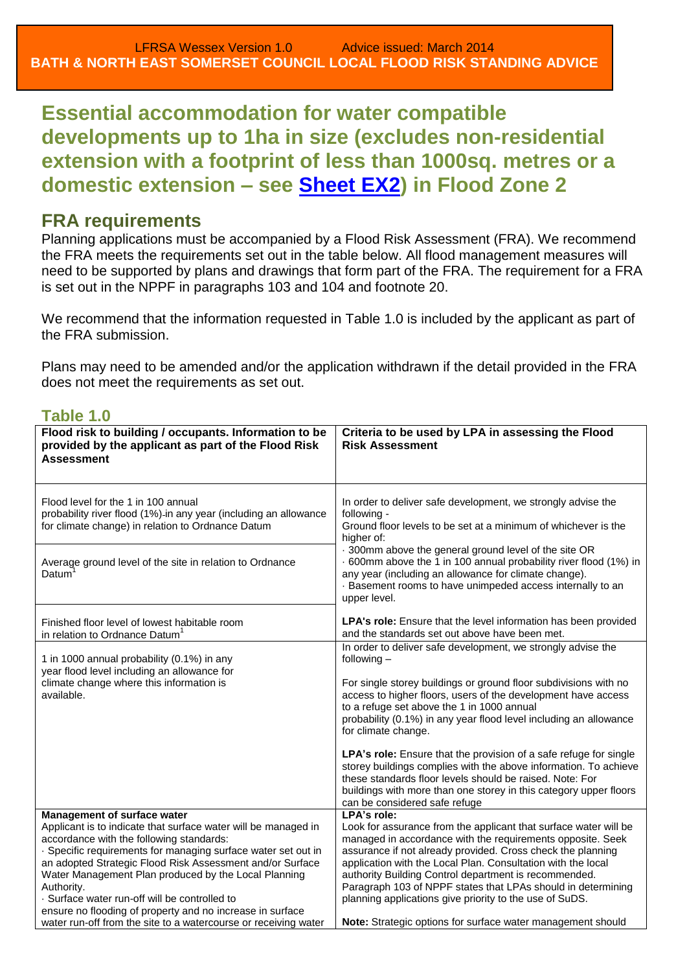<span id="page-14-0"></span>**Essential accommodation for water compatible developments up to 1ha in size (excludes non-residential extension with a footprint of less than 1000sq. metres or a domestic extension – see [Sheet EX2\)](#page-2-1) in Flood Zone 2**

## **FRA requirements**

Planning applications must be accompanied by a Flood Risk Assessment (FRA). We recommend the FRA meets the requirements set out in the table below. All flood management measures will need to be supported by plans and drawings that form part of the FRA. The requirement for a FRA is set out in the NPPF in paragraphs 103 and 104 and footnote 20.

We recommend that the information requested in Table 1.0 is included by the applicant as part of the FRA submission.

Plans may need to be amended and/or the application withdrawn if the detail provided in the FRA does not meet the requirements as set out.

| Flood risk to building / occupants. Information to be<br>provided by the applicant as part of the Flood Risk<br><b>Assessment</b>                                                                                                                 | Criteria to be used by LPA in assessing the Flood<br><b>Risk Assessment</b>                                                                                                                                                                                                                                                                                  |
|---------------------------------------------------------------------------------------------------------------------------------------------------------------------------------------------------------------------------------------------------|--------------------------------------------------------------------------------------------------------------------------------------------------------------------------------------------------------------------------------------------------------------------------------------------------------------------------------------------------------------|
| Flood level for the 1 in 100 annual<br>probability river flood (1%)-in any year (including an allowance<br>for climate change) in relation to Ordnance Datum                                                                                      | In order to deliver safe development, we strongly advise the<br>following -<br>Ground floor levels to be set at a minimum of whichever is the<br>higher of:                                                                                                                                                                                                  |
| Average ground level of the site in relation to Ordnance<br>Datum                                                                                                                                                                                 | · 300mm above the general ground level of the site OR<br>. 600mm above the 1 in 100 annual probability river flood (1%) in<br>any year (including an allowance for climate change).<br>· Basement rooms to have unimpeded access internally to an<br>upper level.                                                                                            |
| Finished floor level of lowest habitable room<br>in relation to Ordnance Datum <sup>1</sup>                                                                                                                                                       | <b>LPA's role:</b> Ensure that the level information has been provided<br>and the standards set out above have been met.                                                                                                                                                                                                                                     |
| 1 in 1000 annual probability (0.1%) in any<br>year flood level including an allowance for<br>climate change where this information is<br>available.                                                                                               | In order to deliver safe development, we strongly advise the<br>following $-$<br>For single storey buildings or ground floor subdivisions with no<br>access to higher floors, users of the development have access<br>to a refuge set above the 1 in 1000 annual<br>probability (0.1%) in any year flood level including an allowance<br>for climate change. |
|                                                                                                                                                                                                                                                   | LPA's role: Ensure that the provision of a safe refuge for single<br>storey buildings complies with the above information. To achieve<br>these standards floor levels should be raised. Note: For<br>buildings with more than one storey in this category upper floors<br>can be considered safe refuge                                                      |
| Management of surface water<br>Applicant is to indicate that surface water will be managed in<br>accordance with the following standards:                                                                                                         | LPA's role:<br>Look for assurance from the applicant that surface water will be<br>managed in accordance with the requirements opposite. Seek                                                                                                                                                                                                                |
| · Specific requirements for managing surface water set out in<br>an adopted Strategic Flood Risk Assessment and/or Surface<br>Water Management Plan produced by the Local Planning<br>Authority.<br>· Surface water run-off will be controlled to | assurance if not already provided. Cross check the planning<br>application with the Local Plan. Consultation with the local<br>authority Building Control department is recommended.<br>Paragraph 103 of NPPF states that LPAs should in determining<br>planning applications give priority to the use of SuDS.                                              |
| ensure no flooding of property and no increase in surface<br>water run-off from the site to a watercourse or receiving water                                                                                                                      | Note: Strategic options for surface water management should                                                                                                                                                                                                                                                                                                  |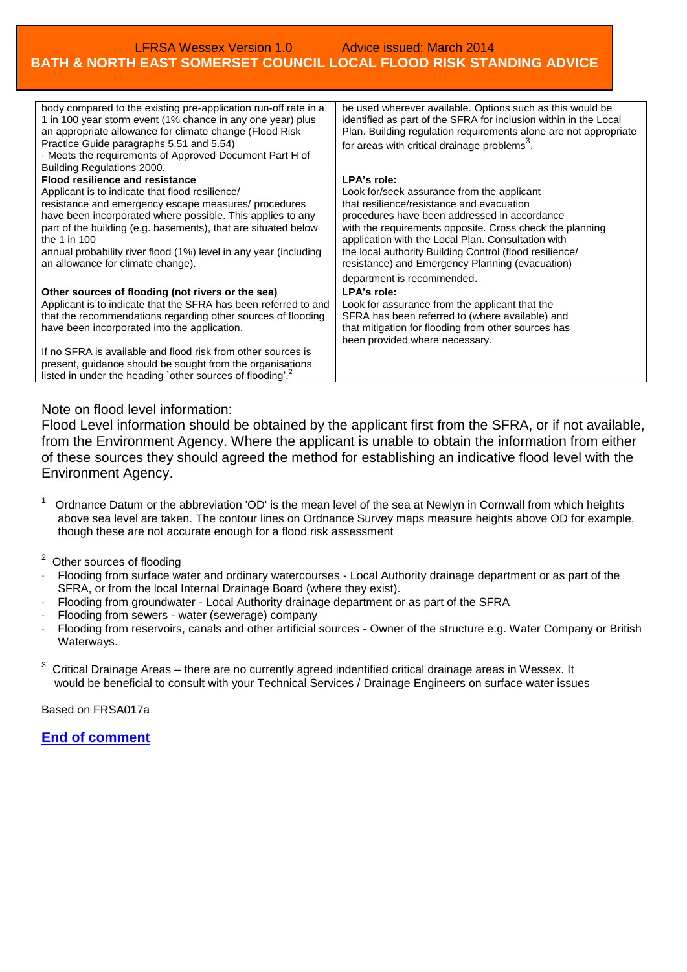| body compared to the existing pre-application run-off rate in a<br>1 in 100 year storm event (1% chance in any one year) plus<br>an appropriate allowance for climate change (Flood Risk<br>Practice Guide paragraphs 5.51 and 5.54)<br>· Meets the requirements of Approved Document Part H of<br>Building Regulations 2000. | be used wherever available. Options such as this would be<br>identified as part of the SFRA for inclusion within in the Local<br>Plan. Building regulation requirements alone are not appropriate<br>for areas with critical drainage problems <sup>3</sup> . |
|-------------------------------------------------------------------------------------------------------------------------------------------------------------------------------------------------------------------------------------------------------------------------------------------------------------------------------|---------------------------------------------------------------------------------------------------------------------------------------------------------------------------------------------------------------------------------------------------------------|
| <b>Flood resilience and resistance</b>                                                                                                                                                                                                                                                                                        | LPA's role:                                                                                                                                                                                                                                                   |
| Applicant is to indicate that flood resilience/                                                                                                                                                                                                                                                                               | Look for/seek assurance from the applicant                                                                                                                                                                                                                    |
| resistance and emergency escape measures/ procedures                                                                                                                                                                                                                                                                          | that resilience/resistance and evacuation                                                                                                                                                                                                                     |
| have been incorporated where possible. This applies to any                                                                                                                                                                                                                                                                    | procedures have been addressed in accordance                                                                                                                                                                                                                  |
| part of the building (e.g. basements), that are situated below                                                                                                                                                                                                                                                                | with the requirements opposite. Cross check the planning                                                                                                                                                                                                      |
| the 1 in 100                                                                                                                                                                                                                                                                                                                  | application with the Local Plan. Consultation with                                                                                                                                                                                                            |
| annual probability river flood (1%) level in any year (including                                                                                                                                                                                                                                                              | the local authority Building Control (flood resilience/                                                                                                                                                                                                       |
| an allowance for climate change).                                                                                                                                                                                                                                                                                             | resistance) and Emergency Planning (evacuation)                                                                                                                                                                                                               |
|                                                                                                                                                                                                                                                                                                                               | department is recommended.                                                                                                                                                                                                                                    |
| Other sources of flooding (not rivers or the sea)                                                                                                                                                                                                                                                                             | LPA's role:                                                                                                                                                                                                                                                   |
| Applicant is to indicate that the SFRA has been referred to and                                                                                                                                                                                                                                                               | Look for assurance from the applicant that the                                                                                                                                                                                                                |
| that the recommendations regarding other sources of flooding                                                                                                                                                                                                                                                                  | SFRA has been referred to (where available) and                                                                                                                                                                                                               |
| have been incorporated into the application.                                                                                                                                                                                                                                                                                  | that mitigation for flooding from other sources has                                                                                                                                                                                                           |
|                                                                                                                                                                                                                                                                                                                               | been provided where necessary.                                                                                                                                                                                                                                |
| If no SFRA is available and flood risk from other sources is                                                                                                                                                                                                                                                                  |                                                                                                                                                                                                                                                               |
| present, guidance should be sought from the organisations                                                                                                                                                                                                                                                                     |                                                                                                                                                                                                                                                               |
| listed in under the heading `other sources of flooding'. <sup>2</sup>                                                                                                                                                                                                                                                         |                                                                                                                                                                                                                                                               |

### Note on flood level information:

Flood Level information should be obtained by the applicant first from the SFRA, or if not available, from the Environment Agency. Where the applicant is unable to obtain the information from either of these sources they should agreed the method for establishing an indicative flood level with the Environment Agency.

 $1$  Ordnance Datum or the abbreviation 'OD' is the mean level of the sea at Newlyn in Cornwall from which heights above sea level are taken. The contour lines on Ordnance Survey maps measure heights above OD for example, though these are not accurate enough for a flood risk assessment

2 Other sources of flooding

- · Flooding from surface water and ordinary watercourses Local Authority drainage department or as part of the SFRA, or from the local Internal Drainage Board (where they exist).
- · Flooding from groundwater Local Authority drainage department or as part of the SFRA
- Flooding from sewers water (sewerage) company
- · Flooding from reservoirs, canals and other artificial sources Owner of the structure e.g. Water Company or British Waterways.
- $3$  Critical Drainage Areas there are no currently agreed indentified critical drainage areas in Wessex. It would be beneficial to consult with your Technical Services / Drainage Engineers on surface water issues

Based on FRSA017a

### **[End of comment](#page-7-1)**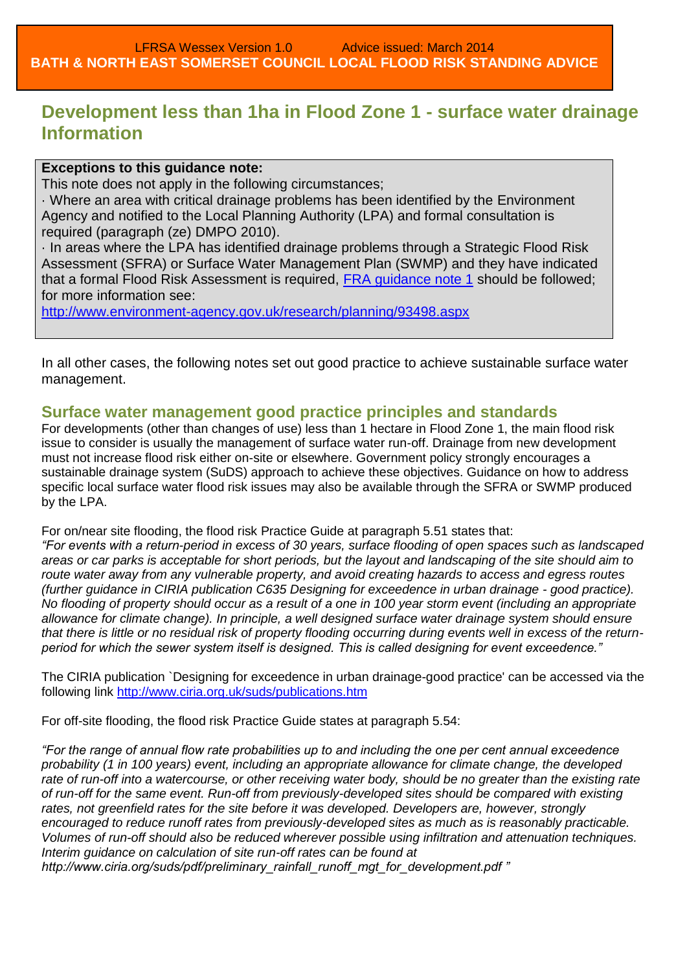# <span id="page-16-0"></span>**Development less than 1ha in Flood Zone 1 - surface water drainage Information**

### **Exceptions to this guidance note:**

This note does not apply in the following circumstances;

· Where an area with critical drainage problems has been identified by the Environment Agency and notified to the Local Planning Authority (LPA) and formal consultation is required (paragraph (ze) DMPO 2010).

· In areas where the LPA has identified drainage problems through a Strategic Flood Risk Assessment (SFRA) or Surface Water Management Plan (SWMP) and they have indicated that a formal Flood Risk Assessment is required, [FRA guidance note 1](http://www.environment-agency.gov.uk/research/planning/93498.aspx) should be followed; for more information see:

<http://www.environment-agency.gov.uk/research/planning/93498.aspx>

In all other cases, the following notes set out good practice to achieve sustainable surface water management.

## **Surface water management good practice principles and standards**

For developments (other than changes of use) less than 1 hectare in Flood Zone 1, the main flood risk issue to consider is usually the management of surface water run-off. Drainage from new development must not increase flood risk either on-site or elsewhere. Government policy strongly encourages a sustainable drainage system (SuDS) approach to achieve these objectives. Guidance on how to address specific local surface water flood risk issues may also be available through the SFRA or SWMP produced by the LPA.

For on/near site flooding, the flood risk Practice Guide at paragraph 5.51 states that:

*"For events with a return-period in excess of 30 years, surface flooding of open spaces such as landscaped areas or car parks is acceptable for short periods, but the layout and landscaping of the site should aim to route water away from any vulnerable property, and avoid creating hazards to access and egress routes (further guidance in CIRIA publication C635 Designing for exceedence in urban drainage - good practice). No flooding of property should occur as a result of a one in 100 year storm event (including an appropriate allowance for climate change). In principle, a well designed surface water drainage system should ensure that there is little or no residual risk of property flooding occurring during events well in excess of the returnperiod for which the sewer system itself is designed. This is called designing for event exceedence."*

The CIRIA publication `Designing for exceedence in urban drainage-good practice' can be accessed via the following link<http://www.ciria.org.uk/suds/publications.htm>

For off-site flooding, the flood risk Practice Guide states at paragraph 5.54:

*"For the range of annual flow rate probabilities up to and including the one per cent annual exceedence probability (1 in 100 years) event, including an appropriate allowance for climate change, the developed rate of run-off into a watercourse, or other receiving water body, should be no greater than the existing rate of run-off for the same event. Run-off from previously-developed sites should be compared with existing rates, not greenfield rates for the site before it was developed. Developers are, however, strongly encouraged to reduce runoff rates from previously-developed sites as much as is reasonably practicable. Volumes of run-off should also be reduced wherever possible using infiltration and attenuation techniques. Interim guidance on calculation of site run-off rates can be found at http://www.ciria.org/suds/pdf/preliminary\_rainfall\_runoff\_mgt\_for\_development.pdf "*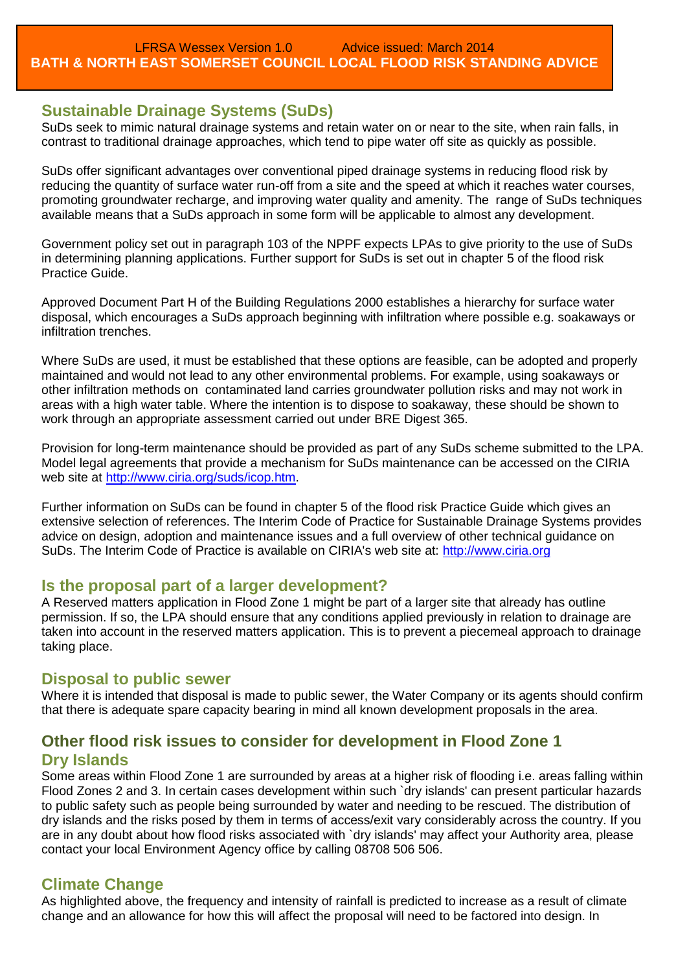### **Sustainable Drainage Systems (SuDs)**

SuDs seek to mimic natural drainage systems and retain water on or near to the site, when rain falls, in contrast to traditional drainage approaches, which tend to pipe water off site as quickly as possible.

SuDs offer significant advantages over conventional piped drainage systems in reducing flood risk by reducing the quantity of surface water run-off from a site and the speed at which it reaches water courses, promoting groundwater recharge, and improving water quality and amenity. The range of SuDs techniques available means that a SuDs approach in some form will be applicable to almost any development.

Government policy set out in paragraph 103 of the NPPF expects LPAs to give priority to the use of SuDs in determining planning applications. Further support for SuDs is set out in chapter 5 of the flood risk Practice Guide.

Approved Document Part H of the Building Regulations 2000 establishes a hierarchy for surface water disposal, which encourages a SuDs approach beginning with infiltration where possible e.g. soakaways or infiltration trenches.

Where SuDs are used, it must be established that these options are feasible, can be adopted and properly maintained and would not lead to any other environmental problems. For example, using soakaways or other infiltration methods on contaminated land carries groundwater pollution risks and may not work in areas with a high water table. Where the intention is to dispose to soakaway, these should be shown to work through an appropriate assessment carried out under BRE Digest 365.

Provision for long-term maintenance should be provided as part of any SuDs scheme submitted to the LPA. Model legal agreements that provide a mechanism for SuDs maintenance can be accessed on the CIRIA web site at [http://www.ciria.org/suds/icop.htm.](http://www.ciria.org/suds/icop.htm)

Further information on SuDs can be found in chapter 5 of the flood risk Practice Guide which gives an extensive selection of references. The Interim Code of Practice for Sustainable Drainage Systems provides advice on design, adoption and maintenance issues and a full overview of other technical guidance on SuDs. The Interim Code of Practice is available on CIRIA's web site at: [http://www.ciria.org](http://www.ciria.org/)

### **Is the proposal part of a larger development?**

A Reserved matters application in Flood Zone 1 might be part of a larger site that already has outline permission. If so, the LPA should ensure that any conditions applied previously in relation to drainage are taken into account in the reserved matters application. This is to prevent a piecemeal approach to drainage taking place.

### **Disposal to public sewer**

Where it is intended that disposal is made to public sewer, the Water Company or its agents should confirm that there is adequate spare capacity bearing in mind all known development proposals in the area.

## **Other flood risk issues to consider for development in Flood Zone 1 Dry Islands**

Some areas within Flood Zone 1 are surrounded by areas at a higher risk of flooding i.e. areas falling within Flood Zones 2 and 3. In certain cases development within such `dry islands' can present particular hazards to public safety such as people being surrounded by water and needing to be rescued. The distribution of dry islands and the risks posed by them in terms of access/exit vary considerably across the country. If you are in any doubt about how flood risks associated with `dry islands' may affect your Authority area, please contact your local Environment Agency office by calling 08708 506 506.

### **Climate Change**

As highlighted above, the frequency and intensity of rainfall is predicted to increase as a result of climate change and an allowance for how this will affect the proposal will need to be factored into design. In